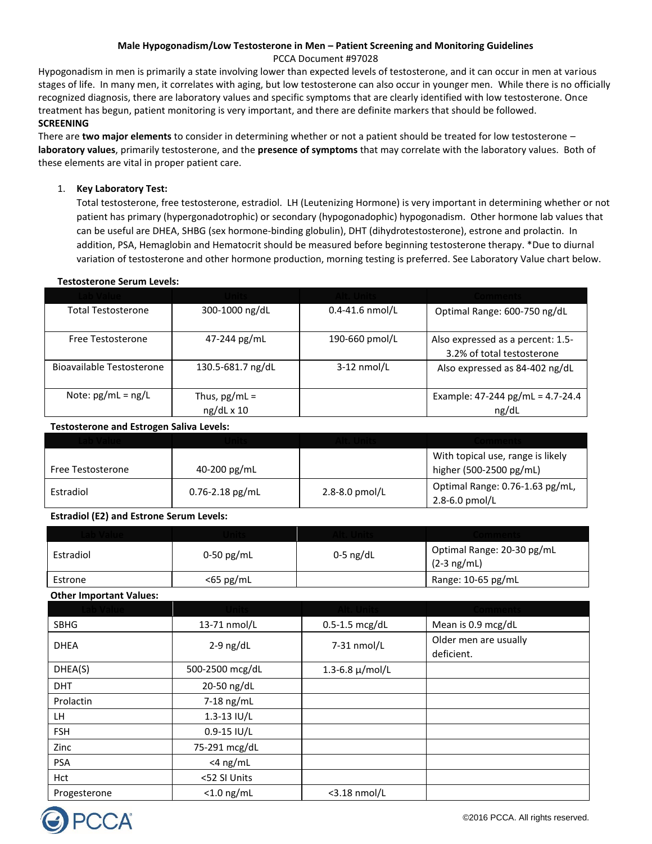# **Male Hypogonadism/Low Testosterone in Men – Patient Screening and Monitoring Guidelines**

# PCCA Document #97028

Hypogonadism in men is primarily a state involving lower than expected levels of testosterone, and it can occur in men at various stages of life. In many men, it correlates with aging, but low testosterone can also occur in younger men. While there is no officially recognized diagnosis, there are laboratory values and specific symptoms that are clearly identified with low testosterone. Once treatment has begun, patient monitoring is very important, and there are definite markers that should be followed. **SCREENING** 

There are **two major elements** to consider in determining whether or not a patient should be treated for low testosterone – **laboratory values**, primarily testosterone, and the **presence of symptoms** that may correlate with the laboratory values. Both of these elements are vital in proper patient care.

# 1. **Key Laboratory Test:**

Total testosterone, free testosterone, estradiol. LH (Leutenizing Hormone) is very important in determining whether or not patient has primary (hypergonadotrophic) or secondary (hypogonadophic) hypogonadism. Other hormone lab values that can be useful are DHEA, SHBG (sex hormone-binding globulin), DHT (dihydrotestosterone), estrone and prolactin. In addition, PSA, Hemaglobin and Hematocrit should be measured before beginning testosterone therapy. \*Due to diurnal variation of testosterone and other hormone production, morning testing is preferred. See Laboratory Value chart below.

# **Testosterone Serum Levels:**

| <b>Total Testosterone</b> | 300-1000 ng/dL                       | $0.4 - 41.6$ nmol/L | Optimal Range: 600-750 ng/dL                                    |
|---------------------------|--------------------------------------|---------------------|-----------------------------------------------------------------|
| Free Testosterone         | 47-244 pg/mL                         | 190-660 pmol/L      | Also expressed as a percent: 1.5-<br>3.2% of total testosterone |
| Bioavailable Testosterone | 130.5-681.7 ng/dL                    | $3-12$ nmol/L       | Also expressed as 84-402 ng/dL                                  |
| Note: $pg/mL = ng/L$      | Thus, $pg/mL =$<br>$ng/dL \times 10$ |                     | Example: 47-244 pg/mL = 4.7-24.4<br>ng/dL                       |

### **Testosterone and Estrogen Saliva Levels:**

| Free Testosterone | 40-200 $pg/mL$      |                  | With topical use, range is likely<br>higher (500-2500 pg/mL) |
|-------------------|---------------------|------------------|--------------------------------------------------------------|
| Estradiol         | $0.76 - 2.18$ pg/mL | 2.8-8.0 $pmol/L$ | Optimal Range: 0.76-1.63 pg/mL,<br>2.8-6.0 $pmol/L$          |

# **Estradiol (E2) and Estrone Serum Levels:**

| Estradiol | 0-50 pg/mL | $0-5$ ng/dL | Optimal Range: 20-30 pg/mL<br>$(2-3 \nmid mL)$ |
|-----------|------------|-------------|------------------------------------------------|
| Estrone   | <65 pg/mL  |             | Range: 10-65 pg/mL                             |

#### **Other Important Values:**

| <b>SBHG</b>  | 13-71 nmol/L    | $0.5-1.5$ mcg/dL     | Mean is 0.9 mcg/dL                  |
|--------------|-----------------|----------------------|-------------------------------------|
| <b>DHEA</b>  | $2-9$ ng/dL     | 7-31 nmol/L          | Older men are usually<br>deficient. |
| DHEA(S)      | 500-2500 mcg/dL | 1.3-6.8 $\mu$ /mol/L |                                     |
| <b>DHT</b>   | 20-50 ng/dL     |                      |                                     |
| Prolactin    | $7-18$ ng/mL    |                      |                                     |
| LH.          | $1.3 - 13$ IU/L |                      |                                     |
| <b>FSH</b>   | $0.9 - 15$ IU/L |                      |                                     |
| Zinc         | 75-291 mcg/dL   |                      |                                     |
| <b>PSA</b>   | $<$ 4 ng/mL     |                      |                                     |
| Hct          | <52 SI Units    |                      |                                     |
| Progesterone | $<$ 1.0 ng/mL   | $<$ 3.18 nmol/L      |                                     |